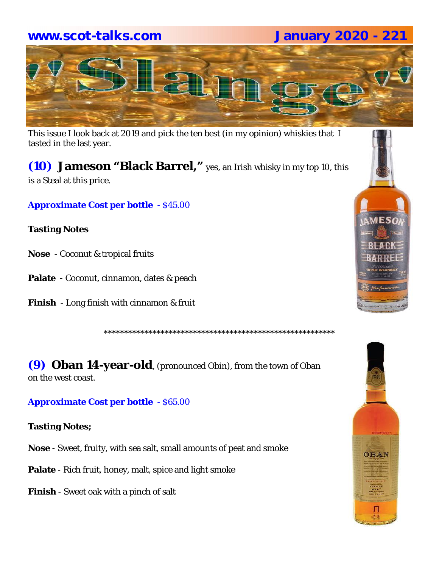# **www.scot-talks.com January 2020 - 221**



This issue I look back at 2019 and pick the ten best (in my opinion) whiskies that I tasted in the last year.

# **(10) Jameson "Black Barrel,"** yes, an Irish whisky in my top 10, this

is a Steal at this price.

**Approximate Cost per bottle** - \$45.00

#### **Tasting Notes**

- **Nose**  Coconut & tropical fruits
- **Palate**  Coconut, cinnamon, dates & peach
- **Finish**  Long finish with cinnamon & fruit

\*\*\*\*\*\*\*\*\*\*\*\*\*\*\*\*\*\*\*\*\*\*\*\*\*\*\*\*\*\*\*\*\*\*\*\*\*\*\*\*\*\*\*\*\*\*\*\*\*\*\*\*\*\*\*\*\*

**(9) Oban 14-year-old**, (pronounced Obin), from the town of Oban on the west coast.

#### **Approximate Cost per bottle** - \$65.00

**Tasting Notes;**

**Nose** - Sweet, fruity, with sea salt, small amounts of peat and smoke

**Palate** - Rich fruit, honey, malt, spice and light smoke

**Finish** - Sweet oak with a pinch of salt



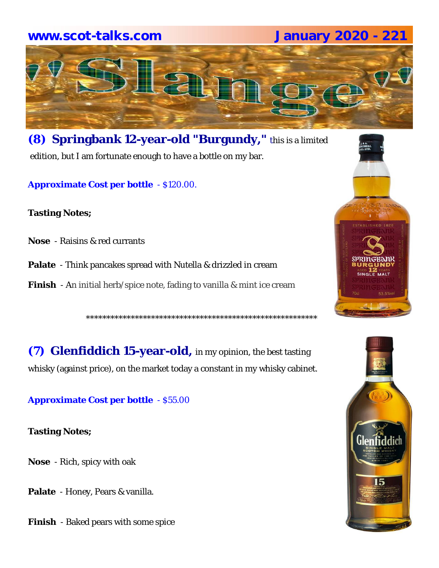# **www.scot-talks.com January 2020 - 221**



**(8) Springbank 12-year-old "Burgundy,"** this is a limited edition, but I am fortunate enough to have a bottle on my bar.

**Approximate Cost per bottle** - \$120.00.

**Tasting Notes;**

- **Nose**  Raisins & red currants
- **Palate**  Think pancakes spread with Nutella & drizzled in cream
- **Finish**  An initial herb/spice note, fading to vanilla & mint ice cream

\*\*\*\*\*\*\*\*\*\*\*\*\*\*\*\*\*\*\*\*\*\*\*\*\*\*\*\*\*\*\*\*\*\*\*\*\*\*\*\*\*\*\*\*\*\*\*\*\*\*\*\*\*\*\*\*\*

**(7) Glenfiddich 15-year-old,** in my opinion, the best tasting whisky (against price), on the market today a constant in my whisky cabinet.

**Approximate Cost per bottle** - \$55.00

**Tasting Notes;**

**Nose** - Rich, spicy with oak

**Palate** - Honey, Pears & vanilla.

**Finish** - Baked pears with some spice

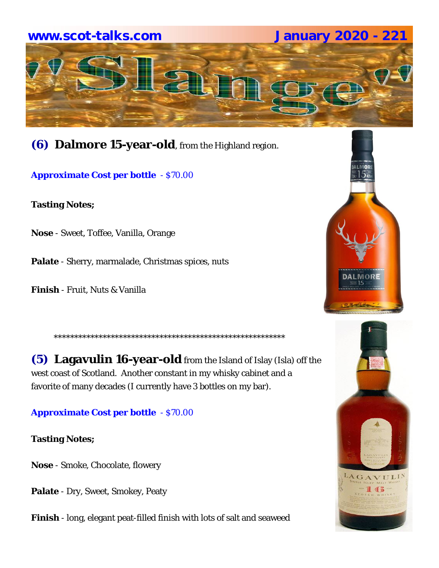# **www.scot-talks.com January 2020 - 221**   $\begin{pmatrix} 2 \\ 6 \end{pmatrix}$

**(6) Dalmore 15-year-old**, from the Highland region.

**Approximate Cost per bottle** - \$70.00

**Tasting Notes;**

**Nose** - Sweet, Toffee, Vanilla, Orange

**Palate** - Sherry, marmalade, Christmas spices, nuts

**Finish** - Fruit, Nuts & Vanilla

**(5) Lagavulin 16-year-old** from the Island of Islay (Isla) off the west coast of Scotland. Another constant in my whisky cabinet and a favorite of many decades (I currently have 3 bottles on my bar).

\*\*\*\*\*\*\*\*\*\*\*\*\*\*\*\*\*\*\*\*\*\*\*\*\*\*\*\*\*\*\*\*\*\*\*\*\*\*\*\*\*\*\*\*\*\*\*\*\*\*\*\*\*\*\*\*\*

**Approximate Cost per bottle** - \$70.00

**Tasting Notes;**

**Nose** - Smoke, Chocolate, flowery

**Palate** - Dry, Sweet, Smokey, Peaty

**Finish** - long, elegant peat-filled finish with lots of salt and seaweed



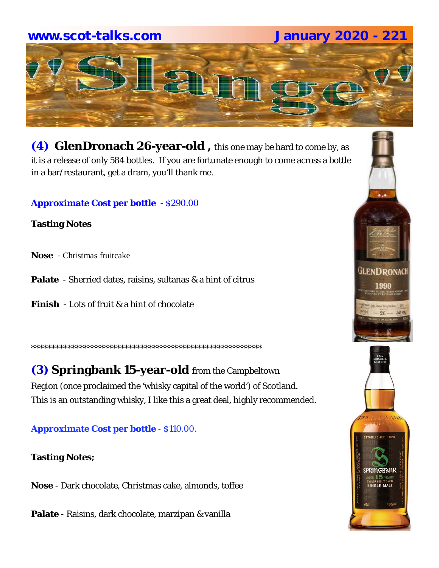# **www.scot-talks.com January 2020 - 221**



**(4) GlenDronach 26-year-old ,** this one may be hard to come by, as it is a release of only 584 bottles. If you are fortunate enough to come across a bottle in a bar/restaurant, get a dram, you'll thank me.

#### **Approximate Cost per bottle** - \$290.00

**Tasting Notes**

- **Nose**  Christmas fruitcake
- **Palate**  Sherried dates, raisins, sultanas & a hint of citrus
- **Finish**  Lots of fruit & a hint of chocolate

**(3) Springbank 15-year-old** from the Campbeltown Region (once proclaimed the 'whisky capital of the world') of Scotland. This is an outstanding whisky, I like this a great deal, highly recommended.

\*\*\*\*\*\*\*\*\*\*\*\*\*\*\*\*\*\*\*\*\*\*\*\*\*\*\*\*\*\*\*\*\*\*\*\*\*\*\*\*\*\*\*\*\*\*\*\*\*\*\*\*\*\*\*\*\*

## **Approximate Cost per bottle** - \$110.00.

## **Tasting Notes;**

**Nose** - Dark chocolate, Christmas cake, almonds, toffee

**Palate** - Raisins, dark chocolate, marzipan & vanilla



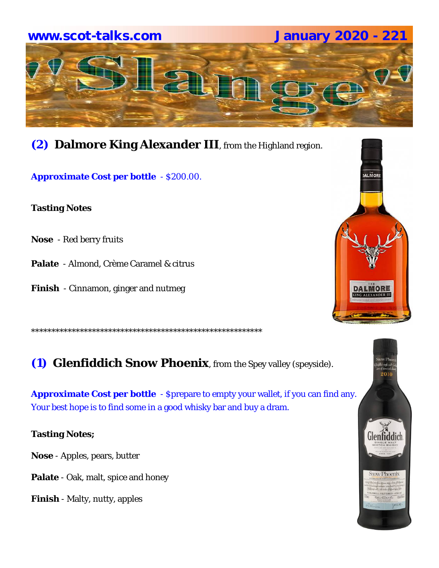

**(2) Dalmore King Alexander III**, from the Highland region.

**Approximate Cost per bottle** - \$200.00.

**Tasting Notes**

- **Nose**  Red berry fruits
- **Palate**  Almond, Crème Caramel & citrus
- **Finish**  Cinnamon, ginger and nutmeg

\*\*\*\*\*\*\*\*\*\*\*\*\*\*\*\*\*\*\*\*\*\*\*\*\*\*\*\*\*\*\*\*\*\*\*\*\*\*\*\*\*\*\*\*\*\*\*\*\*\*\*\*\*\*\*\*\*

**(1) Glenfiddich Snow Phoenix**, from the Spey valley (speyside).

**Approximate Cost per bottle** - \$prepare to empty your wallet, if you can find any. Your best hope is to find some in a good whisky bar and buy a dram.

**Tasting Notes;**

**Nose** - Apples, pears, butter

**Palate** - Oak, malt, spice and honey

**Finish** - Malty, nutty, apples